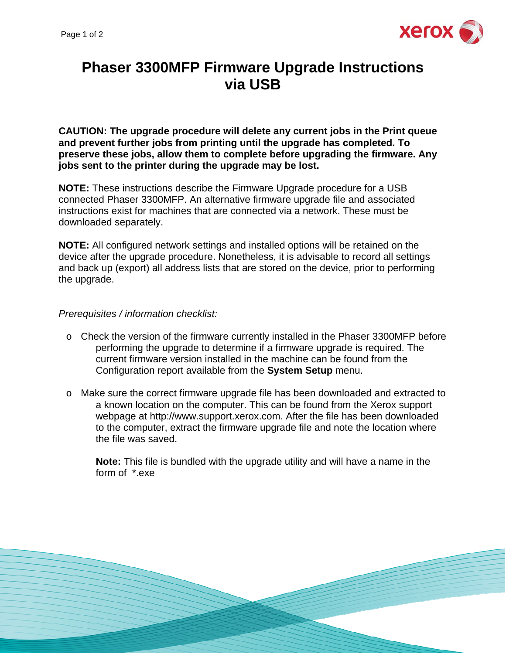

## **Phaser 3300MFP Firmware Upgrade Instructions via USB**

**CAUTION: The upgrade procedure will delete any current jobs in the Print queue and prevent further jobs from printing until the upgrade has completed. To preserve these jobs, allow them to complete before upgrading the firmware. Any jobs sent to the printer during the upgrade may be lost.** 

**NOTE:** These instructions describe the Firmware Upgrade procedure for a USB connected Phaser 3300MFP. An alternative firmware upgrade file and associated instructions exist for machines that are connected via a network. These must be downloaded separately.

**NOTE:** All configured network settings and installed options will be retained on the device after the upgrade procedure. Nonetheless, it is advisable to record all settings and back up (export) all address lists that are stored on the device, prior to performing the upgrade.

## *Prerequisites / information checklist:*

- o Check the version of the firmware currently installed in the Phaser 3300MFP before performing the upgrade to determine if a firmware upgrade is required. The current firmware version installed in the machine can be found from the Configuration report available from the **System Setup** menu.
- o Make sure the correct firmware upgrade file has been downloaded and extracted to a known location on the computer. This can be found from the Xerox support webpage at http://www.support.xerox.com. After the file has been downloaded to the computer, extract the firmware upgrade file and note the location where the file was saved.

**Note:** This file is bundled with the upgrade utility and will have a name in the form of \*.exe